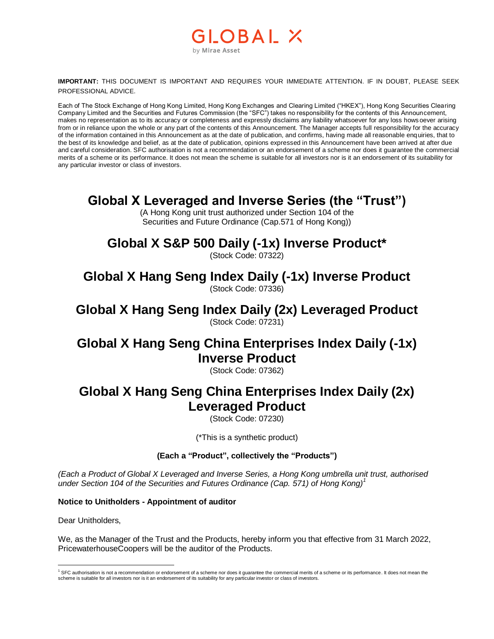## GLOBAL X by Mirae Asset

**IMPORTANT:** THIS DOCUMENT IS IMPORTANT AND REQUIRES YOUR IMMEDIATE ATTENTION. IF IN DOUBT, PLEASE SEEK PROFESSIONAL ADVICE.

Each of The Stock Exchange of Hong Kong Limited, Hong Kong Exchanges and Clearing Limited ("HKEX"), Hong Kong Securities Clearing Company Limited and the Securities and Futures Commission (the "SFC") takes no responsibility for the contents of this Announcement, makes no representation as to its accuracy or completeness and expressly disclaims any liability whatsoever for any loss hows oever arising from or in reliance upon the whole or any part of the contents of this Announcement. The Manager accepts full responsibility for the accuracy of the information contained in this Announcement as at the date of publication, and confirms, having made all reasonable enquiries, that to the best of its knowledge and belief, as at the date of publication, opinions expressed in this Announcement have been arrived at after due and careful consideration. SFC authorisation is not a recommendation or an endorsement of a scheme nor does it guarantee the commercial merits of a scheme or its performance. It does not mean the scheme is suitable for all investors nor is it an endorsement of its suitability for any particular investor or class of investors.

## **Global X Leveraged and Inverse Series (the "Trust")**

(A Hong Kong unit trust authorized under Section 104 of the Securities and Future Ordinance (Cap.571 of Hong Kong))

# **Global X S&P 500 Daily (-1x) Inverse Product\***

(Stock Code: 07322)

# **Global X Hang Seng Index Daily (-1x) Inverse Product**

(Stock Code: 07336)

## **Global X Hang Seng Index Daily (2x) Leveraged Product** (Stock Code: 07231)

## **Global X Hang Seng China Enterprises Index Daily (-1x) Inverse Product**

(Stock Code: 07362)

## **Global X Hang Seng China Enterprises Index Daily (2x) Leveraged Product**

(Stock Code: 07230)

(\*This is a synthetic product)

### **(Each a "Product", collectively the "Products")**

*(Each a Product of Global X Leveraged and Inverse Series, a Hong Kong umbrella unit trust, authorised under Section 104 of the Securities and Futures Ordinance (Cap. 571) of Hong Kong)<sup>1</sup>*

#### **Notice to Unitholders - Appointment of auditor**

Dear Unitholders,

We, as the Manager of the Trust and the Products, hereby inform you that effective from 31 March 2022, PricewaterhouseCoopers will be the auditor of the Products.

 $\overline{a}$ <sup>1</sup> SFC authorisation is not a recommendation or endorsement of a scheme nor does it guarantee the commercial merits of a scheme or its performance. It does not mean the scheme is suitable for all investors nor is it an endorsement of its suitability for any particular investor or class of investors.